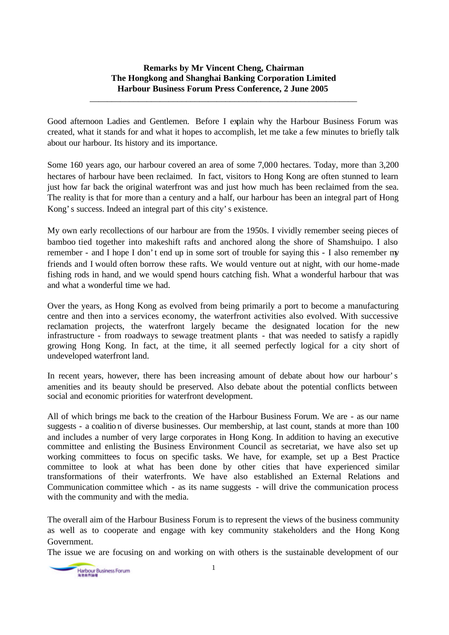## **Remarks by Mr Vincent Cheng, Chairman The Hongkong and Shanghai Banking Corporation Limited Harbour Business Forum Press Conference, 2 June 2005**

\_\_\_\_\_\_\_\_\_\_\_\_\_\_\_\_\_\_\_\_\_\_\_\_\_\_\_\_\_\_\_\_\_\_\_\_\_\_\_\_\_\_\_\_\_\_\_\_\_\_\_\_\_\_\_\_\_\_\_\_\_

Good afternoon Ladies and Gentlemen. Before I explain why the Harbour Business Forum was created, what it stands for and what it hopes to accomplish, let me take a few minutes to briefly talk about our harbour. Its history and its importance.

Some 160 years ago, our harbour covered an area of some 7,000 hectares. Today, more than 3,200 hectares of harbour have been reclaimed. In fact, visitors to Hong Kong are often stunned to learn just how far back the original waterfront was and just how much has been reclaimed from the sea. The reality is that for more than a century and a half, our harbour has been an integral part of Hong Kong's success. Indeed an integral part of this city's existence.

My own early recollections of our harbour are from the 1950s. I vividly remember seeing pieces of bamboo tied together into makeshift rafts and anchored along the shore of Shamshuipo. I also remember - and I hope I don't end up in some sort of trouble for saying this - I also remember my friends and I would often borrow these rafts. We would venture out at night, with our home-made fishing rods in hand, and we would spend hours catching fish. What a wonderful harbour that was and what a wonderful time we had.

Over the years, as Hong Kong as evolved from being primarily a port to become a manufacturing centre and then into a services economy, the waterfront activities also evolved. With successive reclamation projects, the waterfront largely became the designated location for the new infrastructure - from roadways to sewage treatment plants - that was needed to satisfy a rapidly growing Hong Kong. In fact, at the time, it all seemed perfectly logical for a city short of undeveloped waterfront land.

In recent years, however, there has been increasing amount of debate about how our harbour's amenities and its beauty should be preserved. Also debate about the potential conflicts between social and economic priorities for waterfront development.

All of which brings me back to the creation of the Harbour Business Forum. We are - as our name suggests - a coalition of diverse businesses. Our membership, at last count, stands at more than 100 and includes a number of very large corporates in Hong Kong. In addition to having an executive committee and enlisting the Business Environment Council as secretariat, we have also set up working committees to focus on specific tasks. We have, for example, set up a Best Practice committee to look at what has been done by other cities that have experienced similar transformations of their waterfronts. We have also established an External Relations and Communication committee which - as its name suggests - will drive the communication process with the community and with the media.

The overall aim of the Harbour Business Forum is to represent the views of the business community as well as to cooperate and engage with key community stakeholders and the Hong Kong Government.

The issue we are focusing on and working on with others is the sustainable development of our